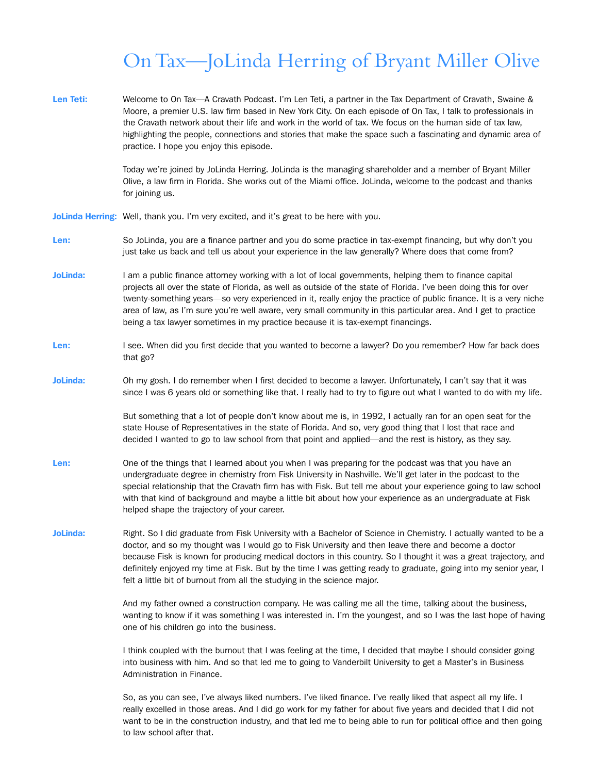## On Tax—JoLinda Herring of Bryant Miller Olive

Len Teti: Welcome to On Tax--A Cravath Podcast. I'm Len Teti, a partner in the Tax Department of Cravath, Swaine & Moore, a premier U.S. law firm based in New York City. On each episode of On Tax, I talk to professionals in the Cravath network about their life and work in the world of tax. We focus on the human side of tax law, highlighting the people, connections and stories that make the space such a fascinating and dynamic area of practice. I hope you enjoy this episode.

> Today we're joined by JoLinda Herring. JoLinda is the managing shareholder and a member of Bryant Miller Olive, a law firm in Florida. She works out of the Miami office. JoLinda, welcome to the podcast and thanks for joining us.

JoLinda Herring: Well, thank you. I'm very excited, and it's great to be here with you.

- Len: So JoLinda, you are a finance partner and you do some practice in tax-exempt financing, but why don't you just take us back and tell us about your experience in the law generally? Where does that come from?
- **JoLinda:** I am a public finance attorney working with a lot of local governments, helping them to finance capital projects all over the state of Florida, as well as outside of the state of Florida. I've been doing this for over twenty-something years—so very experienced in it, really enjoy the practice of public finance. It is a very niche area of law, as I'm sure you're well aware, very small community in this particular area. And I get to practice being a tax lawyer sometimes in my practice because it is tax-exempt financings.
- Len: I see. When did you first decide that you wanted to become a lawyer? Do you remember? How far back does that go?
- JoLinda: Oh my gosh. I do remember when I first decided to become a lawyer. Unfortunately, I can't say that it was since I was 6 years old or something like that. I really had to try to figure out what I wanted to do with my life.

But something that a lot of people don't know about me is, in 1992, I actually ran for an open seat for the state House of Representatives in the state of Florida. And so, very good thing that I lost that race and decided I wanted to go to law school from that point and applied—and the rest is history, as they say.

- Len: One of the things that I learned about you when I was preparing for the podcast was that you have an undergraduate degree in chemistry from Fisk University in Nashville. We'll get later in the podcast to the special relationship that the Cravath firm has with Fisk. But tell me about your experience going to law school with that kind of background and maybe a little bit about how your experience as an undergraduate at Fisk helped shape the trajectory of your career.
- JoLinda: Right. So I did graduate from Fisk University with a Bachelor of Science in Chemistry. I actually wanted to be a doctor, and so my thought was I would go to Fisk University and then leave there and become a doctor because Fisk is known for producing medical doctors in this country. So I thought it was a great trajectory, and definitely enjoyed my time at Fisk. But by the time I was getting ready to graduate, going into my senior year, I felt a little bit of burnout from all the studying in the science major.

And my father owned a construction company. He was calling me all the time, talking about the business, wanting to know if it was something I was interested in. I'm the youngest, and so I was the last hope of having one of his children go into the business.

I think coupled with the burnout that I was feeling at the time, I decided that maybe I should consider going into business with him. And so that led me to going to Vanderbilt University to get a Master's in Business Administration in Finance.

So, as you can see, I've always liked numbers. I've liked finance. I've really liked that aspect all my life. I really excelled in those areas. And I did go work for my father for about five years and decided that I did not want to be in the construction industry, and that led me to being able to run for political office and then going to law school after that.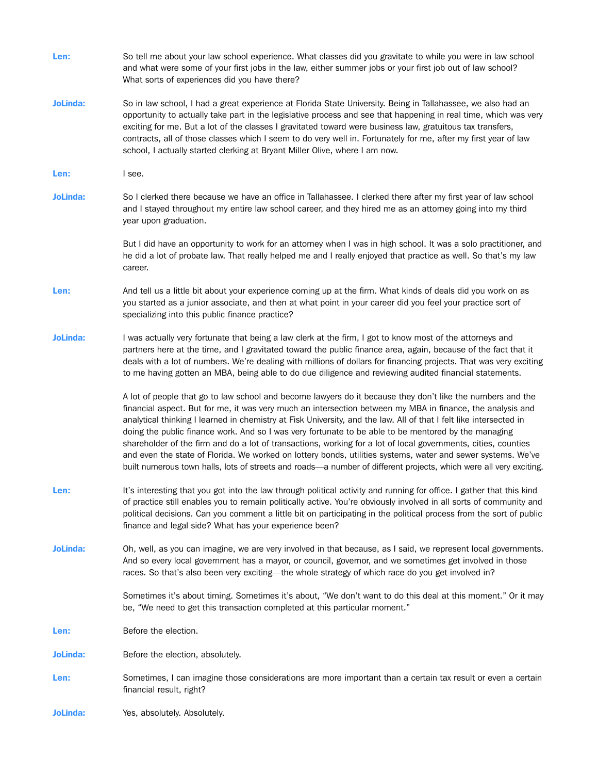| Len:            | So tell me about your law school experience. What classes did you gravitate to while you were in law school<br>and what were some of your first jobs in the law, either summer jobs or your first job out of law school?<br>What sorts of experiences did you have there?                                                                                                                                                                                                                                                                                                                                                                                                                                                                                                                                      |
|-----------------|----------------------------------------------------------------------------------------------------------------------------------------------------------------------------------------------------------------------------------------------------------------------------------------------------------------------------------------------------------------------------------------------------------------------------------------------------------------------------------------------------------------------------------------------------------------------------------------------------------------------------------------------------------------------------------------------------------------------------------------------------------------------------------------------------------------|
| <b>JoLinda:</b> | So in law school, I had a great experience at Florida State University. Being in Tallahassee, we also had an<br>opportunity to actually take part in the legislative process and see that happening in real time, which was very<br>exciting for me. But a lot of the classes I gravitated toward were business law, gratuitous tax transfers,<br>contracts, all of those classes which I seem to do very well in. Fortunately for me, after my first year of law<br>school, I actually started clerking at Bryant Miller Olive, where I am now.                                                                                                                                                                                                                                                               |
| Len:            | I see.                                                                                                                                                                                                                                                                                                                                                                                                                                                                                                                                                                                                                                                                                                                                                                                                         |
| <b>JoLinda:</b> | So I clerked there because we have an office in Tallahassee. I clerked there after my first year of law school<br>and I stayed throughout my entire law school career, and they hired me as an attorney going into my third<br>year upon graduation.                                                                                                                                                                                                                                                                                                                                                                                                                                                                                                                                                           |
|                 | But I did have an opportunity to work for an attorney when I was in high school. It was a solo practitioner, and<br>he did a lot of probate law. That really helped me and I really enjoyed that practice as well. So that's my law<br>career.                                                                                                                                                                                                                                                                                                                                                                                                                                                                                                                                                                 |
| Len:            | And tell us a little bit about your experience coming up at the firm. What kinds of deals did you work on as<br>you started as a junior associate, and then at what point in your career did you feel your practice sort of<br>specializing into this public finance practice?                                                                                                                                                                                                                                                                                                                                                                                                                                                                                                                                 |
| <b>JoLinda:</b> | I was actually very fortunate that being a law clerk at the firm, I got to know most of the attorneys and<br>partners here at the time, and I gravitated toward the public finance area, again, because of the fact that it<br>deals with a lot of numbers. We're dealing with millions of dollars for financing projects. That was very exciting<br>to me having gotten an MBA, being able to do due diligence and reviewing audited financial statements.                                                                                                                                                                                                                                                                                                                                                    |
|                 | A lot of people that go to law school and become lawyers do it because they don't like the numbers and the<br>financial aspect. But for me, it was very much an intersection between my MBA in finance, the analysis and<br>analytical thinking I learned in chemistry at Fisk University, and the law. All of that I felt like intersected in<br>doing the public finance work. And so I was very fortunate to be able to be mentored by the managing<br>shareholder of the firm and do a lot of transactions, working for a lot of local governments, cities, counties<br>and even the state of Florida. We worked on lottery bonds, utilities systems, water and sewer systems. We've<br>built numerous town halls, lots of streets and roads-a number of different projects, which were all very exciting. |
| Len:            | It's interesting that you got into the law through political activity and running for office. I gather that this kind<br>of practice still enables you to remain politically active. You're obviously involved in all sorts of community and<br>political decisions. Can you comment a little bit on participating in the political process from the sort of public<br>finance and legal side? What has your experience been?                                                                                                                                                                                                                                                                                                                                                                                  |
| <b>JoLinda:</b> | Oh, well, as you can imagine, we are very involved in that because, as I said, we represent local governments.<br>And so every local government has a mayor, or council, governor, and we sometimes get involved in those<br>races. So that's also been very exciting—the whole strategy of which race do you get involved in?                                                                                                                                                                                                                                                                                                                                                                                                                                                                                 |
|                 | Sometimes it's about timing. Sometimes it's about, "We don't want to do this deal at this moment." Or it may<br>be, "We need to get this transaction completed at this particular moment."                                                                                                                                                                                                                                                                                                                                                                                                                                                                                                                                                                                                                     |
| Len:            | Before the election.                                                                                                                                                                                                                                                                                                                                                                                                                                                                                                                                                                                                                                                                                                                                                                                           |
| <b>JoLinda:</b> | Before the election, absolutely.                                                                                                                                                                                                                                                                                                                                                                                                                                                                                                                                                                                                                                                                                                                                                                               |
| Len:            | Sometimes, I can imagine those considerations are more important than a certain tax result or even a certain<br>financial result, right?                                                                                                                                                                                                                                                                                                                                                                                                                                                                                                                                                                                                                                                                       |
| <b>JoLinda:</b> | Yes, absolutely. Absolutely.                                                                                                                                                                                                                                                                                                                                                                                                                                                                                                                                                                                                                                                                                                                                                                                   |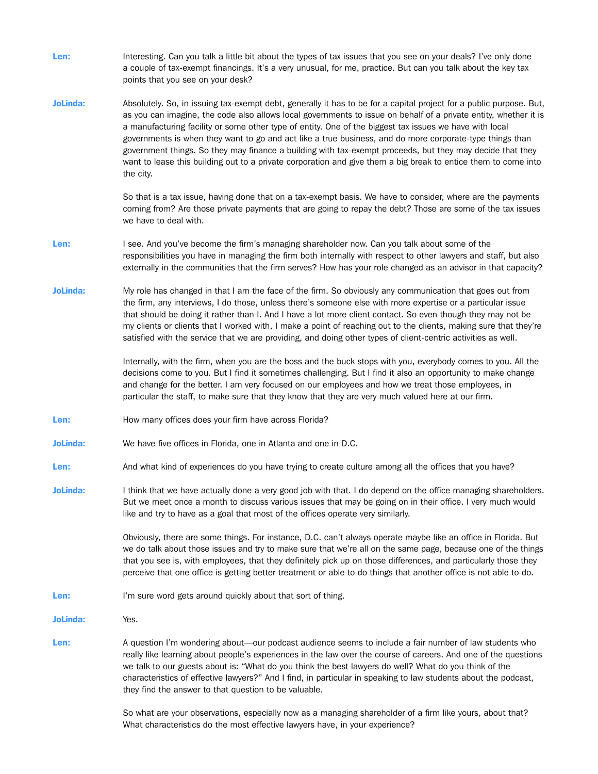Len: Interesting. Can you talk a little bit about the types of tax issues that you see on your deals? I've only done a couple of tax-exempt financings. It's a very unusual, for me, practice. But can you talk about the key tax points that you see on your desk? JoLinda: Absolutely. So, in issuing tax-exempt debt, generally it has to be for a capital project for a public purpose. But, as you can imagine, the code also allows local governments to issue on behalf of a private entity, whether it is a manufacturing facility or some other type of entity. One of the biggest tax issues we have with local governments is when they want to go and act like a true business, and do more corporate-type things than government things. So they may finance a building with tax-exempt proceeds, but they may decide that they want to lease this building out to a private corporation and give them a big break to entice them to come into the city. So that is a tax issue, having done that on a tax-exempt basis. We have to consider, where are the payments coming from? Are those private payments that are going to repay the debt? Those are some of the tax issues we have to deal with. Len: I see. And you've become the firm's managing shareholder now. Can you talk about some of the responsibilities you have in managing the firm both internally with respect to other lawyers and staff, but also externally in the communities that the firm serves? How has your role changed as an advisor in that capacity? JoLinda: My role has changed in that I am the face of the firm. So obviously any communication that goes out from the firm, any interviews, I do those, unless there's someone else with more expertise or a particular issue that should be doing it rather than I. And I have a lot more client contact. So even though they may not be my clients or clients that I worked with, I make a point of reaching out to the clients, making sure that they're satisfied with the service that we are providing, and doing other types of client-centric activities as well. Internally, with the firm, when you are the boss and the buck stops with you, everybody comes to you. All the decisions come to you. But I find it sometimes challenging. But I find it also an opportunity to make change and change for the better. I am very focused on our employees and how we treat those employees, in particular the staff, to make sure that they know that they are very much valued here at our firm. Len: How many offices does your firm have across Florida? JoLinda: We have five offices in Florida, one in Atlanta and one in D.C. Len: And what kind of experiences do you have trying to create culture among all the offices that you have? JoLinda: I think that we have actually done a very good job with that. I do depend on the office managing shareholders. But we meet once a month to discuss various issues that may be going on in their office. I very much would like and try to have as a goal that most of the offices operate very similarly. Obviously, there are some things. For instance, D.C. can't always operate maybe like an office in Florida. But we do talk about those issues and try to make sure that we're all on the same page, because one of the things that you see is, with employees, that they definitely pick up on those differences, and particularly those they perceive that one office is getting better treatment or able to do things that another office is not able to do. Len: I'm sure word gets around quickly about that sort of thing. JoLinda: Yes. Len: A question I'm wondering about—our podcast audience seems to include a fair number of law students who really like learning about people's experiences in the law over the course of careers. And one of the questions we talk to our guests about is: "What do you think the best lawyers do well? What do you think of the characteristics of effective lawyers?" And I find, in particular in speaking to law students about the podcast, they find the answer to that question to be valuable.

> So what are your observations, especially now as a managing shareholder of a firm like yours, about that? What characteristics do the most effective lawyers have, in your experience?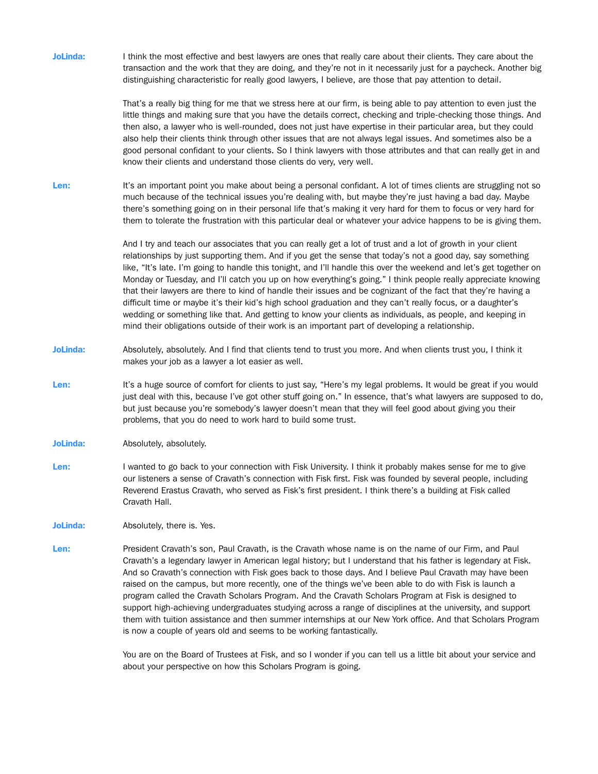JoLinda: I think the most effective and best lawyers are ones that really care about their clients. They care about the transaction and the work that they are doing, and they're not in it necessarily just for a paycheck. Another big distinguishing characteristic for really good lawyers, I believe, are those that pay attention to detail. That's a really big thing for me that we stress here at our firm, is being able to pay attention to even just the little things and making sure that you have the details correct, checking and triple-checking those things. And then also, a lawyer who is well-rounded, does not just have expertise in their particular area, but they could also help their clients think through other issues that are not always legal issues. And sometimes also be a good personal confidant to your clients. So I think lawyers with those attributes and that can really get in and know their clients and understand those clients do very, very well. Len: It's an important point you make about being a personal confidant. A lot of times clients are struggling not so much because of the technical issues you're dealing with, but maybe they're just having a bad day. Maybe there's something going on in their personal life that's making it very hard for them to focus or very hard for them to tolerate the frustration with this particular deal or whatever your advice happens to be is giving them. And I try and teach our associates that you can really get a lot of trust and a lot of growth in your client relationships by just supporting them. And if you get the sense that today's not a good day, say something like, "It's late. I'm going to handle this tonight, and I'll handle this over the weekend and let's get together on Monday or Tuesday, and I'll catch you up on how everything's going." I think people really appreciate knowing that their lawyers are there to kind of handle their issues and be cognizant of the fact that they're having a difficult time or maybe it's their kid's high school graduation and they can't really focus, or a daughter's wedding or something like that. And getting to know your clients as individuals, as people, and keeping in mind their obligations outside of their work is an important part of developing a relationship. JoLinda: Absolutely, absolutely. And I find that clients tend to trust you more. And when clients trust you, I think it makes your job as a lawyer a lot easier as well. Len: It's a huge source of comfort for clients to just say, "Here's my legal problems. It would be great if you would just deal with this, because I've got other stuff going on." In essence, that's what lawyers are supposed to do, but just because you're somebody's lawyer doesn't mean that they will feel good about giving you their problems, that you do need to work hard to build some trust. JoLinda: Absolutely, absolutely. Len: I wanted to go back to your connection with Fisk University. I think it probably makes sense for me to give our listeners a sense of Cravath's connection with Fisk first. Fisk was founded by several people, including Reverend Erastus Cravath, who served as Fisk's first president. I think there's a building at Fisk called Cravath Hall. JoLinda: Absolutely, there is. Yes. Len: President Cravath's son, Paul Cravath, is the Cravath whose name is on the name of our Firm, and Paul Cravath's a legendary lawyer in American legal history; but I understand that his father is legendary at Fisk. And so Cravath's connection with Fisk goes back to those days. And I believe Paul Cravath may have been raised on the campus, but more recently, one of the things we've been able to do with Fisk is launch a program called the Cravath Scholars Program. And the Cravath Scholars Program at Fisk is designed to support high-achieving undergraduates studying across a range of disciplines at the university, and support them with tuition assistance and then summer internships at our New York office. And that Scholars Program is now a couple of years old and seems to be working fantastically. You are on the Board of Trustees at Fisk, and so I wonder if you can tell us a little bit about your service and about your perspective on how this Scholars Program is going.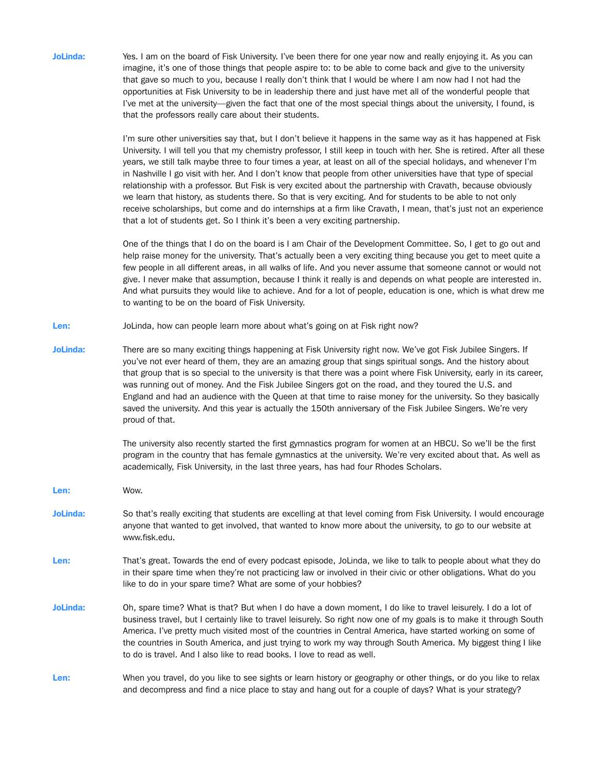JoLinda: Yes. I am on the board of Fisk University. I've been there for one year now and really enjoying it. As you can imagine, it's one of those things that people aspire to: to be able to come back and give to the university that gave so much to you, because I really don't think that I would be where I am now had I not had the opportunities at Fisk University to be in leadership there and just have met all of the wonderful people that I've met at the university—given the fact that one of the most special things about the university, I found, is that the professors really care about their students.

> I'm sure other universities say that, but I don't believe it happens in the same way as it has happened at Fisk University. I will tell you that my chemistry professor, I still keep in touch with her. She is retired. After all these years, we still talk maybe three to four times a year, at least on all of the special holidays, and whenever I'm in Nashville I go visit with her. And I don't know that people from other universities have that type of special relationship with a professor. But Fisk is very excited about the partnership with Cravath, because obviously we learn that history, as students there. So that is very exciting. And for students to be able to not only receive scholarships, but come and do internships at a firm like Cravath, I mean, that's just not an experience that a lot of students get. So I think it's been a very exciting partnership.

> One of the things that I do on the board is I am Chair of the Development Committee. So, I get to go out and help raise money for the university. That's actually been a very exciting thing because you get to meet quite a few people in all different areas, in all walks of life. And you never assume that someone cannot or would not give. I never make that assumption, because I think it really is and depends on what people are interested in. And what pursuits they would like to achieve. And for a lot of people, education is one, which is what drew me to wanting to be on the board of Fisk University.

Len: JoLinda, how can people learn more about what's going on at Fisk right now?

JoLinda: There are so many exciting things happening at Fisk University right now. We've got Fisk Jubilee Singers. If you've not ever heard of them, they are an amazing group that sings spiritual songs. And the history about that group that is so special to the university is that there was a point where Fisk University, early in its career, was running out of money. And the Fisk Jubilee Singers got on the road, and they toured the U.S. and England and had an audience with the Queen at that time to raise money for the university. So they basically saved the university. And this year is actually the 150th anniversary of the Fisk Jubilee Singers. We're very proud of that.

> The university also recently started the first gymnastics program for women at an HBCU. So we'll be the first program in the country that has female gymnastics at the university. We're very excited about that. As well as academically, Fisk University, in the last three years, has had four Rhodes Scholars.

Len: Wow. JoLinda: So that's really exciting that students are excelling at that level coming from Fisk University. I would encourage anyone that wanted to get involved, that wanted to know more about the university, to go to our website at www.fisk.edu. Len: That's great. Towards the end of every podcast episode, JoLinda, we like to talk to people about what they do in their spare time when they're not practicing law or involved in their civic or other obligations. What do you like to do in your spare time? What are some of your hobbies? JoLinda: Oh, spare time? What is that? But when I do have a down moment, I do like to travel leisurely. I do a lot of business travel, but I certainly like to travel leisurely. So right now one of my goals is to make it through South America. I've pretty much visited most of the countries in Central America, have started working on some of the countries in South America, and just trying to work my way through South America. My biggest thing I like to do is travel. And I also like to read books. I love to read as well. Len: When you travel, do you like to see sights or learn history or geography or other things, or do you like to relax

and decompress and find a nice place to stay and hang out for a couple of days? What is your strategy?